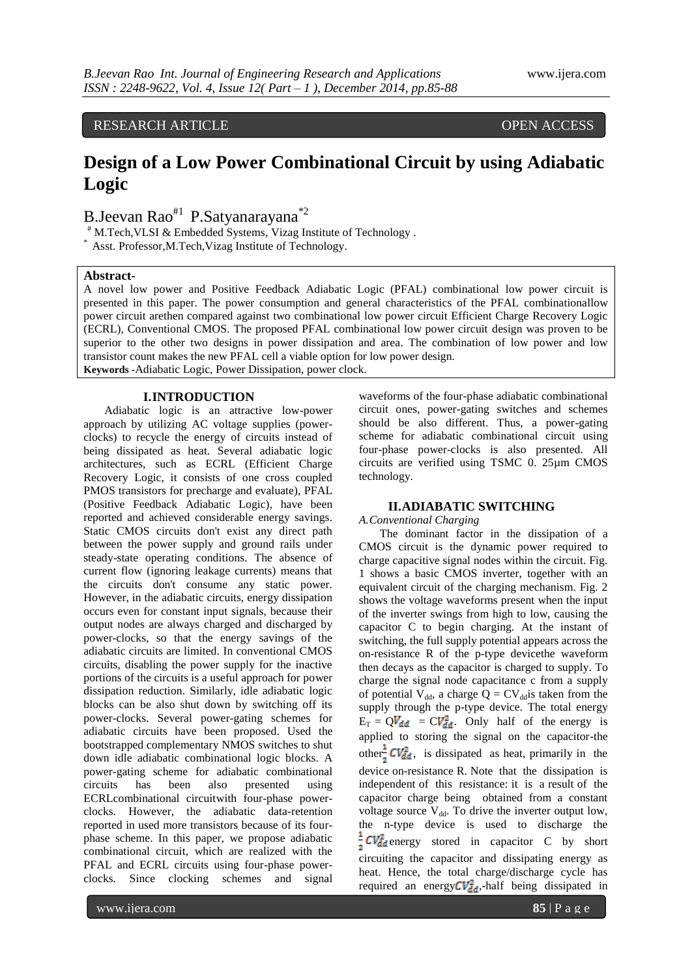RESEARCH ARTICLE OPEN ACCESS

# **Design of a Low Power Combinational Circuit by using Adiabatic Logic**

B.Jeevan Rao<sup>#1</sup> P.Satyanarayana<sup>\*2</sup>

# M.Tech,VLSI & Embedded Systems, Vizag Institute of Technology .

\* Asst. Professor,M.Tech,Vizag Institute of Technology.

# **Abstract-**

A novel low power and Positive Feedback Adiabatic Logic (PFAL) combinational low power circuit is presented in this paper. The power consumption and general characteristics of the PFAL combinationallow power circuit arethen compared against two combinational low power circuit Efficient Charge Recovery Logic (ECRL), Conventional CMOS. The proposed PFAL combinational low power circuit design was proven to be superior to the other two designs in power dissipation and area. The combination of low power and low transistor count makes the new PFAL cell a viable option for low power design. **Keywords -**Adiabatic Logic, Power Dissipation, power clock.

#### **I.INTRODUCTION**

Adiabatic logic is an attractive low-power approach by utilizing AC voltage supplies (powerclocks) to recycle the energy of circuits instead of being dissipated as heat. Several adiabatic logic architectures, such as ECRL (Efficient Charge Recovery Logic, it consists of one cross coupled PMOS transistors for precharge and evaluate), PFAL (Positive Feedback Adiabatic Logic), have been reported and achieved considerable energy savings. Static CMOS circuits don't exist any direct path between the power supply and ground rails under steady-state operating conditions. The absence of current flow (ignoring leakage currents) means that the circuits don't consume any static power. However, in the adiabatic circuits, energy dissipation occurs even for constant input signals, because their output nodes are always charged and discharged by power-clocks, so that the energy savings of the adiabatic circuits are limited. In conventional CMOS circuits, disabling the power supply for the inactive portions of the circuits is a useful approach for power dissipation reduction. Similarly, idle adiabatic logic blocks can be also shut down by switching off its power-clocks. Several power-gating schemes for adiabatic circuits have been proposed. Used the bootstrapped complementary NMOS switches to shut down idle adiabatic combinational logic blocks. A power-gating scheme for adiabatic combinational circuits has been also presented using ECRLcombinational circuitwith four-phase powerclocks. However, the adiabatic data-retention reported in used more transistors because of its fourphase scheme. In this paper, we propose adiabatic combinational circuit, which are realized with the PFAL and ECRL circuits using four-phase powerclocks. Since clocking schemes and signal

waveforms of the four-phase adiabatic combinational circuit ones, power-gating switches and schemes should be also different. Thus, a power-gating scheme for adiabatic combinational circuit using four-phase power-clocks is also presented. All circuits are verified using TSMC 0. 25µm CMOS technology.

## **II.ADIABATIC SWITCHING**

#### *A.Conventional Charging*

The dominant factor in the dissipation of a CMOS circuit is the dynamic power required to charge capacitive signal nodes within the circuit. Fig. 1 shows a basic CMOS inverter, together with an equivalent circuit of the charging mechanism. Fig. 2 shows the voltage waveforms present when the input of the inverter swings from high to low, causing the capacitor C to begin charging. At the instant of switching, the full supply potential appears across the on-resistance R of the p-type devicethe waveform then decays as the capacitor is charged to supply. To charge the signal node capacitance c from a supply of potential  $V_{dd}$ , a charge Q = CV<sub>dd</sub> is taken from the supply through the p-type device. The total energy  $E_T = QV_{dd} = CV_{dd}^2$ . Only half of the energy is applied to storing the signal on the capacitor-the other  $CV_{dd}^2$ , is dissipated as heat, primarily in the device on-resistance R. Note that the dissipation is independent of this resistance: it is a result of the capacitor charge being obtained from a constant voltage source  $V_{dd}$ . To drive the inverter output low, the n-type device is used to discharge the  $\frac{1}{2}CV_{dd}^2$  energy stored in capacitor C by short circuiting the capacitor and dissipating energy as heat. Hence, the total charge/discharge cycle has required an energy  $CV_{dd}^2$ ,-half being dissipated in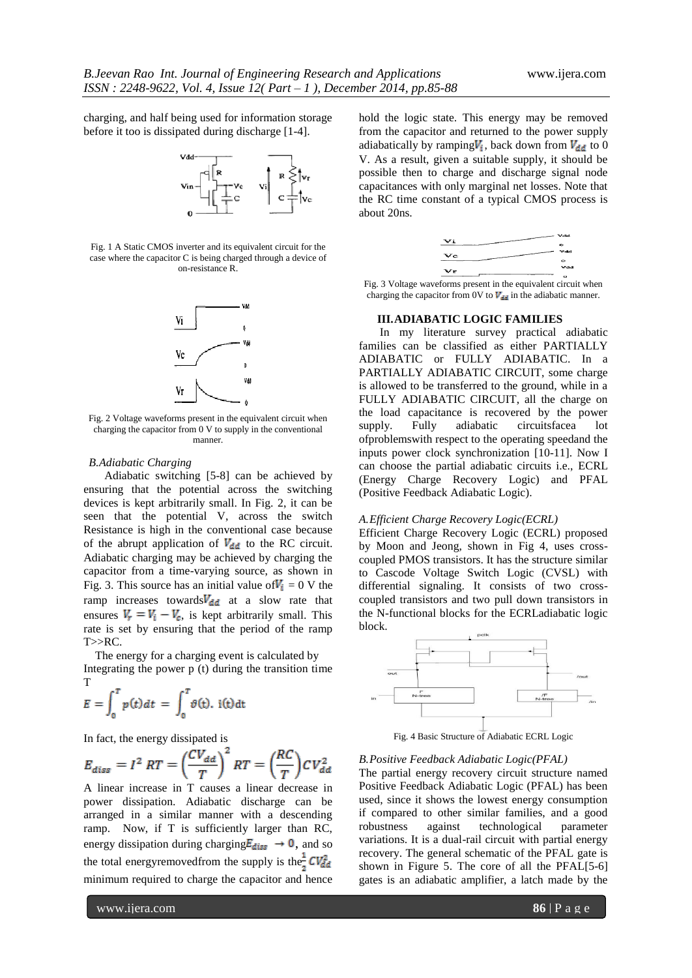charging, and half being used for information storage before it too is dissipated during discharge [1-4].



Fig. 1 A Static CMOS inverter and its equivalent circuit for the case where the capacitor C is being charged through a device of on-resistance R.



Fig. 2 Voltage waveforms present in the equivalent circuit when charging the capacitor from 0 V to supply in the conventional manner.

## *B.Adiabatic Charging*

Adiabatic switching [5-8] can be achieved by ensuring that the potential across the switching devices is kept arbitrarily small. In Fig. 2, it can be seen that the potential V, across the switch Resistance is high in the conventional case because of the abrupt application of  $V_{dd}$  to the RC circuit. Adiabatic charging may be achieved by charging the capacitor from a time-varying source, as shown in Fig. 3. This source has an initial value of  $V_i = 0$  V the ramp increases towards  $V_{dd}$  at a slow rate that ensures  $V_r = V_i - V_c$ , is kept arbitrarily small. This rate is set by ensuring that the period of the ramp  $T>>RC$ .

 The energy for a charging event is calculated by Integrating the power p (t) during the transition time T

$$
E = \int_0^T p(t) dt = \int_0^T \vartheta(t) \, \text{ i(t)dt}
$$

In fact, the energy dissipated is

$$
E_{diss} = I^2 RT = \left(\frac{CV_{dd}}{T}\right)^2 RT = \left(\frac{RC}{T}\right)CV_{dd}^2
$$

A linear increase in T causes a linear decrease in power dissipation. Adiabatic discharge can be arranged in a similar manner with a descending ramp. Now, if T is sufficiently larger than RC, energy dissipation during charging  $E_{diss} \rightarrow 0$ , and so the total energyremoved from the supply is the  $CV_{dd}^2$ minimum required to charge the capacitor and hence

hold the logic state. This energy may be removed from the capacitor and returned to the power supply adiabatically by ramping $V_i$ , back down from  $V_{dd}$  to 0 V. As a result, given a suitable supply, it should be possible then to charge and discharge signal node capacitances with only marginal net losses. Note that the RC time constant of a typical CMOS process is about 20ns.

| Vi |                            | $-$           |
|----|----------------------------|---------------|
|    |                            | ۰             |
| Vc |                            | $v_{dd}$      |
|    |                            | $\bullet$     |
| Vr |                            | Vdd           |
|    |                            | ۰             |
|    | $\sim$<br>$\sim$<br>$\sim$ | . .<br>$\sim$ |

Fig. 3 Voltage waveforms present in the equivalent circuit when charging the capacitor from 0V to  $V_{\text{rel}}$  in the adiabatic manner.

#### **III.ADIABATIC LOGIC FAMILIES**

In my literature survey practical adiabatic families can be classified as either PARTIALLY ADIABATIC or FULLY ADIABATIC. In a PARTIALLY ADIABATIC CIRCUIT, some charge is allowed to be transferred to the ground, while in a FULLY ADIABATIC CIRCUIT, all the charge on the load capacitance is recovered by the power supply. Fully adiabatic circuitsfacea lot ofproblemswith respect to the operating speedand the inputs power clock synchronization [10-11]. Now I can choose the partial adiabatic circuits i.e., ECRL (Energy Charge Recovery Logic) and PFAL (Positive Feedback Adiabatic Logic).

#### *A.Efficient Charge Recovery Logic(ECRL)*

Efficient Charge Recovery Logic (ECRL) proposed by Moon and Jeong, shown in Fig 4, uses crosscoupled PMOS transistors. It has the structure similar to Cascode Voltage Switch Logic (CVSL) with differential signaling. It consists of two crosscoupled transistors and two pull down transistors in the N-functional blocks for the ECRLadiabatic logic block.



Fig. 4 Basic Structure of Adiabatic ECRL Logic

#### *B.Positive Feedback Adiabatic Logic(PFAL)*

The partial energy recovery circuit structure named Positive Feedback Adiabatic Logic (PFAL) has been used, since it shows the lowest energy consumption if compared to other similar families, and a good robustness against technological parameter variations. It is a dual-rail circuit with partial energy recovery. The general schematic of the PFAL gate is shown in Figure 5. The core of all the PFAL[5-6] gates is an adiabatic amplifier, a latch made by the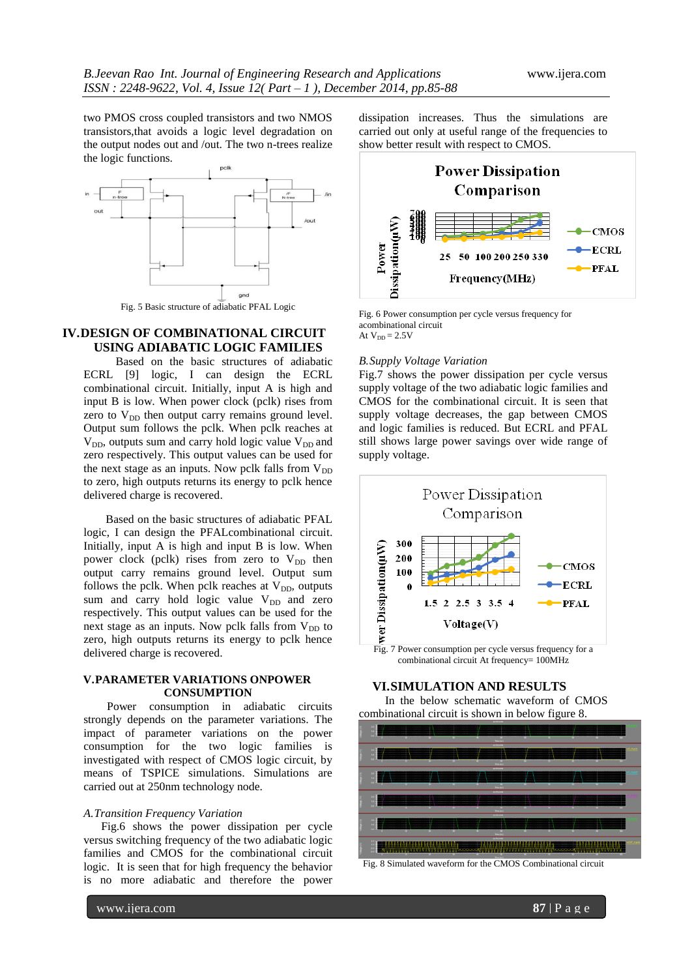two PMOS cross coupled transistors and two NMOS transistors,that avoids a logic level degradation on the output nodes out and /out. The two n-trees realize the logic functions.



# **IV.DESIGN OF COMBINATIONAL CIRCUIT USING ADIABATIC LOGIC FAMILIES**

 Based on the basic structures of adiabatic ECRL [9] logic, I can design the ECRL combinational circuit. Initially, input A is high and input B is low. When power clock (pclk) rises from zero to  $V_{DD}$  then output carry remains ground level. Output sum follows the pclk. When pclk reaches at  $V_{DD}$ , outputs sum and carry hold logic value  $V_{DD}$  and zero respectively. This output values can be used for the next stage as an inputs. Now pclk falls from  $V_{DD}$ to zero, high outputs returns its energy to pclk hence delivered charge is recovered.

 Based on the basic structures of adiabatic PFAL logic, I can design the PFALcombinational circuit. Initially, input A is high and input B is low. When power clock (pclk) rises from zero to  $V_{DD}$  then output carry remains ground level. Output sum follows the pclk. When pclk reaches at  $V_{DD}$ , outputs sum and carry hold logic value  $V_{DD}$  and zero respectively. This output values can be used for the next stage as an inputs. Now pclk falls from  $V_{DD}$  to zero, high outputs returns its energy to pclk hence delivered charge is recovered.

## **V.PARAMETER VARIATIONS ONPOWER CONSUMPTION**

 Power consumption in adiabatic circuits strongly depends on the parameter variations. The impact of parameter variations on the power consumption for the two logic families is investigated with respect of CMOS logic circuit, by means of TSPICE simulations. Simulations are carried out at 250nm technology node.

#### *A.Transition Frequency Variation*

 Fig.6 shows the power dissipation per cycle versus switching frequency of the two adiabatic logic families and CMOS for the combinational circuit logic. It is seen that for high frequency the behavior is no more adiabatic and therefore the power

dissipation increases. Thus the simulations are carried out only at useful range of the frequencies to show better result with respect to CMOS.



Fig. 6 Power consumption per cycle versus frequency for acombinational circuit At  $V_{DD} = 2.5V$ 

#### *B.Supply Voltage Variation*

Fig.7 shows the power dissipation per cycle versus supply voltage of the two adiabatic logic families and CMOS for the combinational circuit. It is seen that supply voltage decreases, the gap between CMOS and logic families is reduced. But ECRL and PFAL still shows large power savings over wide range of supply voltage.



#### **VI.SIMULATION AND RESULTS**

 In the below schematic waveform of CMOS combinational circuit is shown in below figure 8.



Fig. 8 Simulated waveform for the CMOS Combinational circuit